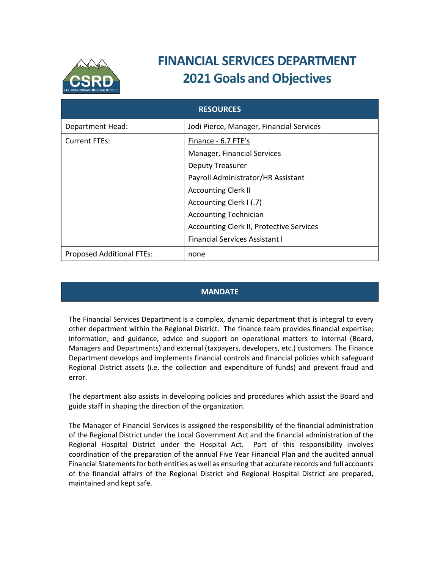

# **FINANCIAL SERVICES DEPARTMENT 2021 Goals and Objectives**

| <b>RESOURCES</b>                 |                                                 |
|----------------------------------|-------------------------------------------------|
| Department Head:                 | Jodi Pierce, Manager, Financial Services        |
| <b>Current FTEs:</b>             | Finance - 6.7 FTE's                             |
|                                  | Manager, Financial Services                     |
|                                  | <b>Deputy Treasurer</b>                         |
|                                  | Payroll Administrator/HR Assistant              |
|                                  | <b>Accounting Clerk II</b>                      |
|                                  | Accounting Clerk I (.7)                         |
|                                  | <b>Accounting Technician</b>                    |
|                                  | <b>Accounting Clerk II, Protective Services</b> |
|                                  | <b>Financial Services Assistant I</b>           |
| <b>Proposed Additional FTEs:</b> | none                                            |

### **MANDATE**

The Financial Services Department is a complex, dynamic department that is integral to every other department within the Regional District. The finance team provides financial expertise; information; and guidance, advice and support on operational matters to internal (Board, Managers and Departments) and external (taxpayers, developers, etc.) customers. The Finance Department develops and implements financial controls and financial policies which safeguard Regional District assets (i.e. the collection and expenditure of funds) and prevent fraud and error.

The department also assists in developing policies and procedures which assist the Board and guide staff in shaping the direction of the organization.

The Manager of Financial Services is assigned the responsibility of the financial administration of the Regional District under the Local Government Act and the financial administration of the Regional Hospital District under the Hospital Act. Part of this responsibility involves coordination of the preparation of the annual Five Year Financial Plan and the audited annual Financial Statementsfor both entities as well as ensuring that accurate records and full accounts of the financial affairs of the Regional District and Regional Hospital District are prepared, maintained and kept safe.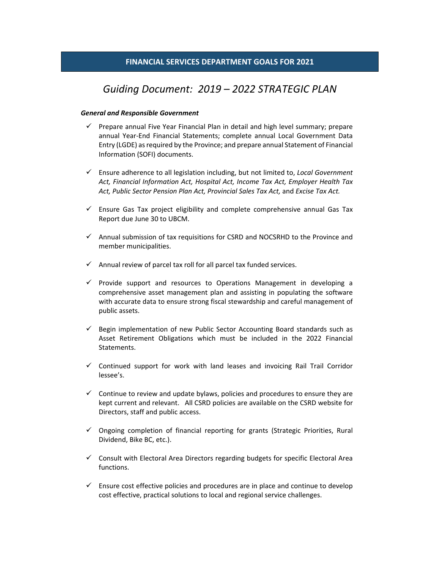## *Guiding Document: 2019 – 2022 STRATEGIC PLAN*

#### *General and Responsible Government*

- $\checkmark$  Prepare annual Five Year Financial Plan in detail and high level summary; prepare annual Year‐End Financial Statements; complete annual Local Government Data Entry (LGDE) asrequired by the Province; and prepare annual Statement of Financial Information (SOFI) documents.
- Ensure adherence to all legislation including, but not limited to, *Local Government Act, Financial Information Act, Hospital Act, Income Tax Act, Employer Health Tax Act, Public Sector Pension Plan Act, Provincial Sales Tax Act,* and *Excise Tax Act.*
- $\checkmark$  Ensure Gas Tax project eligibility and complete comprehensive annual Gas Tax Report due June 30 to UBCM.
- $\checkmark$  Annual submission of tax requisitions for CSRD and NOCSRHD to the Province and member municipalities.
- $\checkmark$  Annual review of parcel tax roll for all parcel tax funded services.
- $\checkmark$  Provide support and resources to Operations Management in developing a comprehensive asset management plan and assisting in populating the software with accurate data to ensure strong fiscal stewardship and careful management of public assets.
- $\checkmark$  Begin implementation of new Public Sector Accounting Board standards such as Asset Retirement Obligations which must be included in the 2022 Financial Statements.
- $\checkmark$  Continued support for work with land leases and invoicing Rail Trail Corridor lessee's.
- $\checkmark$  Continue to review and update bylaws, policies and procedures to ensure they are kept current and relevant. All CSRD policies are available on the CSRD website for Directors, staff and public access.
- $\checkmark$  Ongoing completion of financial reporting for grants (Strategic Priorities, Rural Dividend, Bike BC, etc.).
- $\checkmark$  Consult with Electoral Area Directors regarding budgets for specific Electoral Area functions.
- $\checkmark$  Ensure cost effective policies and procedures are in place and continue to develop cost effective, practical solutions to local and regional service challenges.